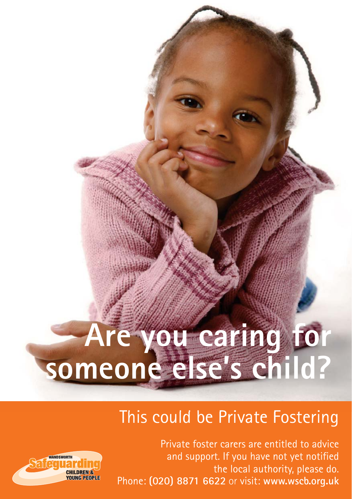# **Are you caring for someone else's child?**

### This could be Private Fostering

Private foster carers are entitled to advice and support. If you have not yet notified the local authority, please do. Phone: **(020) 8871 6622** or visit: **www.wscb.org.uk**